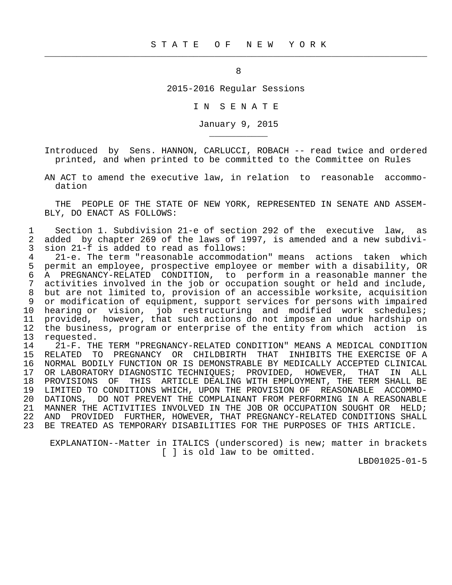$\frac{1}{2}$  , and the contribution of the contribution of the contribution of the contribution of the contribution of the contribution of the contribution of the contribution of the contribution of the contribution of the c

\_\_\_\_\_\_\_\_\_\_\_

2015-2016 Regular Sessions

I N S E N A T E

January 9, 2015

 Introduced by Sens. HANNON, CARLUCCI, ROBACH -- read twice and ordered printed, and when printed to be committed to the Committee on Rules

 AN ACT to amend the executive law, in relation to reasonable accommo dation

 THE PEOPLE OF THE STATE OF NEW YORK, REPRESENTED IN SENATE AND ASSEM- BLY, DO ENACT AS FOLLOWS:

 1 Section 1. Subdivision 21-e of section 292 of the executive law, as 2 added by chapter 269 of the laws of 1997, is amended and a new subdivi-<br>3 sion 21-f is added to read as follows: 3 sion 21-f is added to read as follows:<br>4 21-e. The term "reasonable accommoda

4 21-e. The term "reasonable accommodation" means actions taken which<br>5 permit an employee, prospective employee or member with a disability, OR 5 permit an employee, prospective employee or member with a disability, OR 6 A PREGNANCY-RELATED CONDITION, to perform in a reasonable manner the<br>7 activities involved in the job or occupation sought or held and include. 7 activities involved in the job or occupation sought or held and include,<br>8 but are not limited to, provision of an accessible worksite, acquisition 8 but are not limited to, provision of an accessible worksite, acquisition<br>8 or modification of equipment, support services for persons with impaired 9 or modification of equipment, support services for persons with impaired 10 hearing or vision, job restructuring and modified work schedules; 10 now-----, contractive contractions do not impose an undue hardship on<br>12 the business, program or enterprise of the entity from which action is 12 the business, program or enterprise of the entity from which action is 13 requested.

13 requested.<br>14 21-F.TH 14 11-F. THE TERM "PREGNANCY-RELATED CONDITION" MEANS A MEDICAL CONDITION<br>15 RELATED TO PREGNANCY OR CHILDBIRTH THAT INHIBITS THE EXERCISE OF A RELATED TO PREGNANCY OR CHILDBIRTH THAT INHIBITS THE EXERCISE OF A 16 NORMAL BODILY FUNCTION OR IS DEMONSTRABLE BY MEDICALLY ACCEPTED CLINICAL 17 OR LABORATORY DIAGNOSTIC TECHNIQUES; PROVIDED, HOWEVER, THAT IN ALL<br>18 PROVISIONS OF THIS ARTICLE DEALING WITH EMPLOYMENT, THE TERM SHALL BE 18 PROVISIONS OF THIS ARTICLE DEALING WITH EMPLOYMENT, THE TERM SHALL BE<br>19 LIMITED TO CONDITIONS WHICH, UPON THE PROVISION OF REASONABLE ACCOMMO-19 LIMITED TO CONDITIONS WHICH, UPON THE PROVISION OF REASONABLE ACCOMMO-<br>20 DATIONS, DO NOT PREVENT THE COMPLAINANT FROM PERFORMING IN A REASONABLE 20 DATIONS, DO NOT PREVENT THE COMPLAINANT FROM PERFORMING IN A REASONABLE 21 MANNER THE ACTIVITIES INVOLVED IN THE JOB OR OCCUPATION SOUGHT OR HELD; 22 AND PROVIDED FURTHER, HOWEVER, THAT PREGNANCY-RELATED CONDITIONS SHALL<br>23 BE TREATED AS TEMPORARY DISABILITIES FOR THE PURPOSES OF THIS ARTICLE. BE TREATED AS TEMPORARY DISABILITIES FOR THE PURPOSES OF THIS ARTICLE.

 EXPLANATION--Matter in ITALICS (underscored) is new; matter in brackets [ ] is old law to be omitted.

LBD01025-01-5